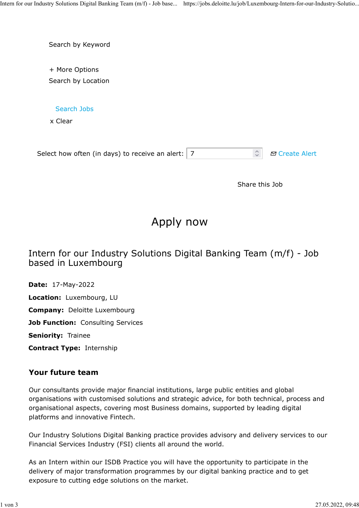Search by Keyword

+ More Options Search by Location

Search Jobs

x Clear

| $\hat{z}$ $\sigma$ Create Alert<br>Select how often (in days) to receive an alert: $ 7 $ |
|------------------------------------------------------------------------------------------|
|------------------------------------------------------------------------------------------|

Share this Job

# Apply now

# Intern for our Industry Solutions Digital Banking Team (m/f) - Job based in Luxembourg

Date: 17-May-2022 Location: Luxembourg, LU Company: Deloitte Luxembourg Job Function: Consulting Services Seniority: Trainee Contract Type: Internship

#### Your future team

Our consultants provide major financial institutions, large public entities and global organisations with customised solutions and strategic advice, for both technical, process and organisational aspects, covering most Business domains, supported by leading digital platforms and innovative Fintech.

Our Industry Solutions Digital Banking practice provides advisory and delivery services to our Financial Services Industry (FSI) clients all around the world.

As an Intern within our ISDB Practice you will have the opportunity to participate in the delivery of major transformation programmes by our digital banking practice and to get exposure to cutting edge solutions on the market.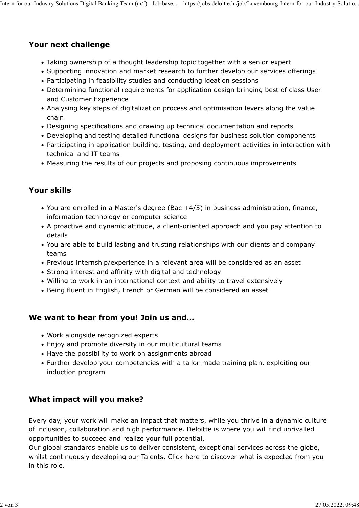### Your next challenge

- Taking ownership of a thought leadership topic together with a senior expert
- Supporting innovation and market research to further develop our services offerings
- Participating in feasibility studies and conducting ideation sessions
- Determining functional requirements for application design bringing best of class User and Customer Experience
- Analysing key steps of digitalization process and optimisation levers along the value chain and the contract of the contract of the contract of the contract of the contract of the contract of the
- Designing specifications and drawing up technical documentation and reports
- Developing and testing detailed functional designs for business solution components
- Participating in application building, testing, and deployment activities in interaction with technical and IT teams
- Measuring the results of our projects and proposing continuous improvements

### Your skills

- You are enrolled in a Master's degree (Bac +4/5) in business administration, finance, information technology or computer science
- A proactive and dynamic attitude, a client-oriented approach and you pay attention to details
- You are able to build lasting and trusting relationships with our clients and company teams
- Previous internship/experience in a relevant area will be considered as an asset
- Strong interest and affinity with digital and technology
- Willing to work in an international context and ability to travel extensively
- Being fluent in English, French or German will be considered an asset

#### We want to hear from you! Join us and…

- Work alongside recognized experts
- Enjoy and promote diversity in our multicultural teams
- Have the possibility to work on assignments abroad
- Further develop your competencies with a tailor-made training plan, exploiting our induction program

# What impact will you make?

Every day, your work will make an impact that matters, while you thrive in a dynamic culture of inclusion, collaboration and high performance. Deloitte is where you will find unrivalled opportunities to succeed and realize your full potential.

Our global standards enable us to deliver consistent, exceptional services across the globe, We want to hear from you! Join us and...<br>
• Work alongside recognized experts<br>
• Enjoy and promote diversity in our multicultural teams<br>
• Have the possibility to work on assignments abroad<br>
• Further develop your competen in this role.